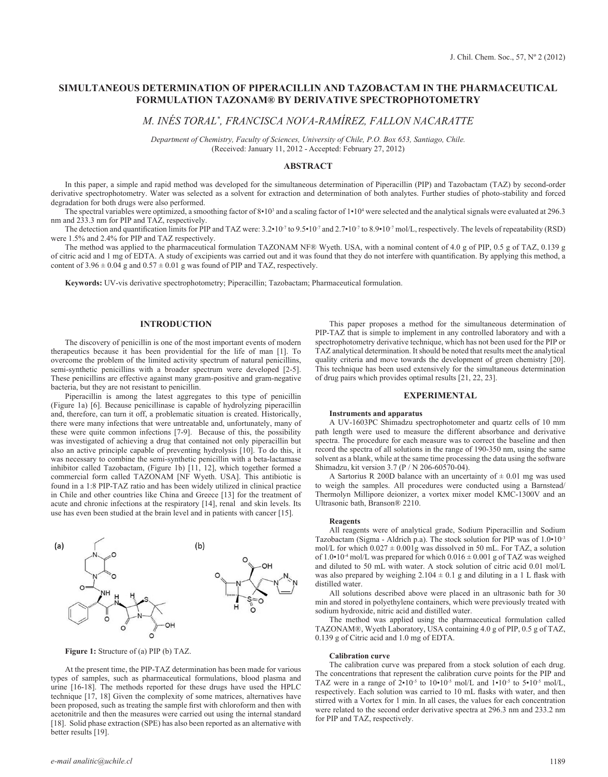# **SIMULTANEOUS DETERMINATION OF PIPERACILLIN AND TAZOBACTAM IN THE PHARMACEUTICAL FORMULATION TAZONAM® BY DERIVATIVE SPECTROPHOTOMETRY**

*M. INÉS TORAL\* , FRANCISCA NOVA-RAMÍREZ, FALLON NACARATTE*

*Department of Chemistry, Faculty of Sciences, University of Chile, P.O. Box 653, Santiago, Chile.* (Received: January 11, 2012 - Accepted: February 27, 2012)

# **ABSTRACT**

In this paper, a simple and rapid method was developed for the simultaneous determination of Piperacillin (PIP) and Tazobactam (TAZ) by second-order derivative spectrophotometry. Water was selected as a solvent for extraction and determination of both analytes. Further studies of photo-stability and forced degradation for both drugs were also performed.

The spectral variables were optimized, a smoothing factor of  $8 \cdot 10^3$  and a scaling factor of  $1 \cdot 10^4$  were selected and the analytical signals were evaluated at 296.3 nm and 233.3 nm for PIP and TAZ, respectively.

The detection and quantification limits for PIP and TAZ were:  $3.2 \cdot 10^{-7}$  to  $9.5 \cdot 10^{-7}$  and  $2.7 \cdot 10^{-7}$  to  $8.9 \cdot 10^{-7}$  mol/L, respectively. The levels of repeatability (RSD) were 1.5% and 2.4% for PIP and TAZ respectively.

The method was applied to the pharmaceutical formulation TAZONAM NF® Wyeth. USA, with a nominal content of 4.0 g of PIP, 0.5 g of TAZ, 0.139 g of citric acid and 1 mg of EDTA. A study of excipients was carried out and it was found that they do not interfere with quantification. By applying this method, a content of  $3.96 \pm 0.04$  g and  $0.57 \pm 0.01$  g was found of PIP and TAZ, respectively.

**Keywords:** UV-vis derivative spectrophotometry; Piperacillin; Tazobactam; Pharmaceutical formulation.

### **INTRODUCTION**

The discovery of penicillin is one of the most important events of modern therapeutics because it has been providential for the life of man [1]. To overcome the problem of the limited activity spectrum of natural penicillins, semi-synthetic penicillins with a broader spectrum were developed [2-5]. These penicillins are effective against many gram-positive and gram-negative bacteria, but they are not resistant to penicillin.

Piperacillin is among the latest aggregates to this type of penicillin (Figure 1a) [6]. Because penicillinase is capable of hydrolyzing piperacillin and, therefore, can turn it off, a problematic situation is created. Historically, there were many infections that were untreatable and, unfortunately, many of these were quite common infections [7-9]. Because of this, the possibility was investigated of achieving a drug that contained not only piperacillin but also an active principle capable of preventing hydrolysis [10]. To do this, it was necessary to combine the semi-synthetic penicillin with a beta-lactamase inhibitor called Tazobactam, (Figure 1b) [11, 12], which together formed a commercial form called TAZONAM [NF Wyeth. USA]. This antibiotic is found in a 1:8 PIP-TAZ ratio and has been widely utilized in clinical practice in Chile and other countries like China and Greece [13] for the treatment of acute and chronic infections at the respiratory [14], renal and skin levels. Its use has even been studied at the brain level and in patients with cancer [15].



**Figure 1:** Structure of (a) PIP (b) TAZ.

At the present time, the PIP-TAZ determination has been made for various types of samples, such as pharmaceutical formulations, blood plasma and urine [16-18]. The methods reported for these drugs have used the HPLC technique [17, 18] Given the complexity of some matrices, alternatives have been proposed, such as treating the sample first with chloroform and then with acetonitrile and then the measures were carried out using the internal standard [18]. Solid phase extraction (SPE) has also been reported as an alternative with better results [19].

This paper proposes a method for the simultaneous determination of PIP-TAZ that is simple to implement in any controlled laboratory and with a spectrophotometry derivative technique, which has not been used for the PIP or TAZ analytical determination. It should be noted that results meet the analytical quality criteria and move towards the development of green chemistry [20]. This technique has been used extensively for the simultaneous determination of drug pairs which provides optimal results [21, 22, 23].

### **EXPERIMENTAL**

#### **Instruments and apparatus**

A UV-1603PC Shimadzu spectrophotometer and quartz cells of 10 mm path length were used to measure the different absorbance and derivative spectra. The procedure for each measure was to correct the baseline and then record the spectra of all solutions in the range of 190-350 nm, using the same solvent as a blank, while at the same time processing the data using the software Shimadzu, kit version 3.7 (P / N 206-60570-04).

A Sartorius R 200D balance with an uncertainty of  $\pm$  0.01 mg was used to weigh the samples. All procedures were conducted using a Barnstead/ Thermolyn Millipore deionizer, a vortex mixer model KMC-1300V and an Ultrasonic bath, Branson® 2210.

#### **Reagents**

All reagents were of analytical grade, Sodium Piperacillin and Sodium Tazobactam (Sigma - Aldrich p.a). The stock solution for PIP was of 1.0•10<sup>-3</sup> mol/L for which  $0.027 \pm 0.001g$  was dissolved in 50 mL. For TAZ, a solution of 1.0•10<sup>-4</sup> mol/L was prepared for which  $0.016 \pm 0.001$  g of TAZ was weighed and diluted to 50 mL with water. A stock solution of citric acid 0.01 mol/L was also prepared by weighing  $2.104 \pm 0.1$  g and diluting in a 1 L flask with distilled water.

All solutions described above were placed in an ultrasonic bath for 30 min and stored in polyethylene containers, which were previously treated with sodium hydroxide, nitric acid and distilled water.

The method was applied using the pharmaceutical formulation called TAZONAM®, Wyeth Laboratory, USA containing 4.0 g of PIP, 0.5 g of TAZ, 0.139 g of Citric acid and 1.0 mg of EDTA.

# **Calibration curve**

The calibration curve was prepared from a stock solution of each drug. The concentrations that represent the calibration curve points for the PIP and TAZ were in a range of  $2 \cdot 10^{-5}$  to  $10 \cdot 10^{-5}$  mol/L and  $1 \cdot 10^{-5}$  to  $5 \cdot 10^{-5}$  mol/L, respectively. Each solution was carried to 10 mL flasks with water, and then stirred with a Vortex for 1 min. In all cases, the values for each concentration were related to the second order derivative spectra at 296.3 nm and 233.2 nm for PIP and TAZ, respectively.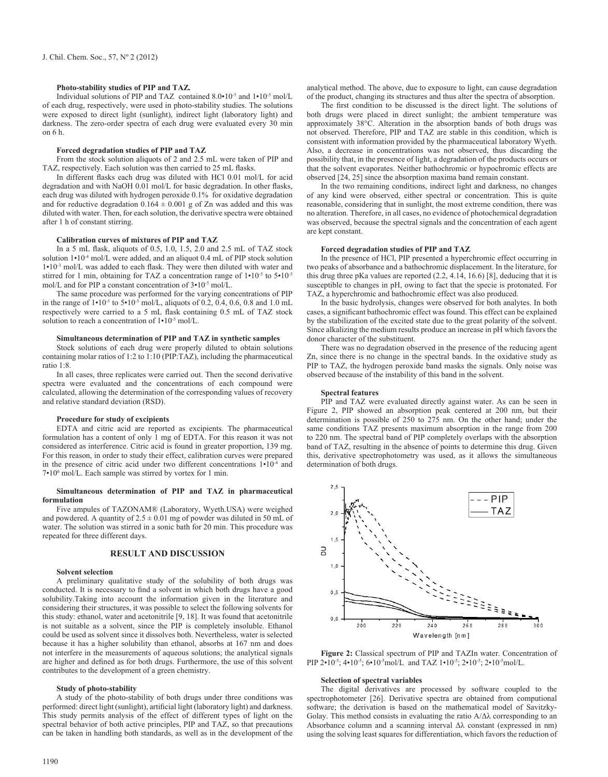# **Photo-stability studies of PIP and TAZ***.*

Individual solutions of PIP and TAZ contained 8.0•10-5 and 1•10-5 mol/L of each drug, respectively, were used in photo-stability studies. The solutions were exposed to direct light (sunlight), indirect light (laboratory light) and darkness. The zero-order spectra of each drug were evaluated every 30 min on 6 h.

### **Forced degradation studies of PIP and TAZ**

From the stock solution aliquots of 2 and 2.5 mL were taken of PIP and TAZ, respectively. Each solution was then carried to 25 mL flasks.

In different flasks each drug was diluted with HCl 0.01 mol/L for acid degradation and with NaOH 0.01 mol/L for basic degradation. In other flasks, each drug was diluted with hydrogen peroxide 0.1% for oxidative degradation and for reductive degradation  $0.164 \pm 0.001$  g of Zn was added and this was diluted with water. Then, for each solution, the derivative spectra were obtained after 1 h of constant stirring.

#### **Calibration curves of mixtures of PIP and TAZ**

In a 5 mL flask, aliquots of 0.5, 1.0, 1.5, 2.0 and 2.5 mL of TAZ stock solution  $1 \cdot 10^{-4}$  mol/L were added, and an aliquot 0.4 mL of PIP stock solution 1•10-3 mol/L was added to each flask. They were then diluted with water and stirred for 1 min, obtaining for TAZ a concentration range of  $1 \cdot 10^{-5}$  to  $5 \cdot 10^{-5}$ mol/L and for PIP a constant concentration of 3•10-5 mol/L.

The same procedure was performed for the varying concentrations of PIP in the range of  $1 \cdot 10^{-5}$  to  $5 \cdot 10^{-5}$  mol/L, aliquots of 0.2, 0.4, 0.6, 0.8 and 1.0 mL respectively were carried to a 5 mL flask containing 0.5 mL of TAZ stock solution to reach a concentration of  $1 \cdot 10^{-5}$  mol/L.

# **Simultaneous determination of PIP and TAZ in synthetic samples**

Stock solutions of each drug were properly diluted to obtain solutions containing molar ratios of 1:2 to 1:10 (PIP:TAZ), including the pharmaceutical ratio 1:8.

In all cases, three replicates were carried out. Then the second derivative spectra were evaluated and the concentrations of each compound were calculated, allowing the determination of the corresponding values of recovery and relative standard deviation (RSD).

#### **Procedure for study of excipients**

EDTA and citric acid are reported as excipients. The pharmaceutical formulation has a content of only 1 mg of EDTA. For this reason it was not considered as interference. Citric acid is found in greater proportion, 139 mg. For this reason, in order to study their effect, calibration curves were prepared in the presence of citric acid under two different concentrations 1•10-4 and 7•10<sup>6</sup> mol/L. Each sample was stirred by vortex for 1 min.

### **Simultaneous determination of PIP and TAZ in pharmaceutical formulation**

Five ampules of TAZONAM® (Laboratory, Wyeth.USA) were weighed and powdered. A quantity of  $2.5 \pm 0.01$  mg of powder was diluted in 50 mL of water. The solution was stirred in a sonic bath for 20 min. This procedure was repeated for three different days.

# **RESULT AND DISCUSSION**

### **Solvent selection**

A preliminary qualitative study of the solubility of both drugs was conducted. It is necessary to find a solvent in which both drugs have a good solubility.Taking into account the information given in the literature and considering their structures, it was possible to select the following solvents for this study: ethanol, water and acetonitrile [9, 18]. It was found that acetonitrile is not suitable as a solvent, since the PIP is completely insoluble. Ethanol could be used as solvent since it dissolves both. Nevertheless, water is selected because it has a higher solubility than ethanol, absorbs at 167 nm and does not interfere in the measurements of aqueous solutions; the analytical signals are higher and defined as for both drugs. Furthermore, the use of this solvent contributes to the development of a green chemistry.

# **Study of photo-stability**

A study of the photo-stability of both drugs under three conditions was performed: direct light (sunlight), artificial light (laboratory light) and darkness. This study permits analysis of the effect of different types of light on the spectral behavior of both active principles, PIP and TAZ, so that precautions can be taken in handling both standards, as well as in the development of the analytical method. The above, due to exposure to light, can cause degradation of the product, changing its structures and thus alter the spectra of absorption.

The first condition to be discussed is the direct light. The solutions of both drugs were placed in direct sunlight; the ambient temperature was approximately 38°C. Alteration in the absorption bands of both drugs was not observed. Therefore, PIP and TAZ are stable in this condition, which is consistent with information provided by the pharmaceutical laboratory Wyeth. Also, a decrease in concentrations was not observed, thus discarding the possibility that, in the presence of light, a degradation of the products occurs or that the solvent evaporates. Neither bathochromic or hypochromic effects are observed [24, 25] since the absorption maxima band remain constant.

In the two remaining conditions, indirect light and darkness, no changes of any kind were observed, either spectral or concentration. This is quite reasonable, considering that in sunlight, the most extreme condition, there was no alteration. Therefore, in all cases, no evidence of photochemical degradation was observed, because the spectral signals and the concentration of each agent are kept constant.

# **Forced degradation studies of PIP and TAZ**

In the presence of HCl, PIP presented a hyperchromic effect occurring in two peaks of absorbance and a bathochromic displacement. In the literature, for this drug three pKa values are reported (2.2, 4.14, 16.6) [8], deducing that it is susceptible to changes in pH, owing to fact that the specie is protonated. For TAZ, a hyperchromic and bathochromic effect was also produced.

In the basic hydrolysis, changes were observed for both analytes. In both cases, a significant bathochromic effect was found. This effect can be explained by the stabilization of the excited state due to the great polarity of the solvent. Since alkalizing the medium results produce an increase in pH which favors the donor character of the substituent.

There was no degradation observed in the presence of the reducing agent Zn, since there is no change in the spectral bands. In the oxidative study as PIP to TAZ, the hydrogen peroxide band masks the signals. Only noise was observed because of the instability of this band in the solvent.

### **Spectral features**

PIP and TAZ were evaluated directly against water. As can be seen in Figure 2, PIP showed an absorption peak centered at 200 nm, but their determination is possible of 250 to 275 nm. On the other hand; under the same conditions TAZ presents maximum absorption in the range from 200 to 220 nm. The spectral band of PIP completely overlaps with the absorption band of TAZ, resulting in the absence of points to determine this drug. Given this, derivative spectrophotometry was used, as it allows the simultaneous determination of both drugs.



**Figure 2:** Classical spectrum of PIP and TAZIn water. Concentration of PIP 2•10<sup>-5</sup>; 4•10<sup>-5</sup>; 6•10<sup>-5</sup>mol/L and TAZ 1•10<sup>-5</sup>; 2•10<sup>-5</sup>; 2•10<sup>-5</sup>mol/L.

#### **Selection of spectral variables**

The digital derivatives are processed by software coupled to the spectrophotometer [26]. Derivative spectra are obtained from computional software; the derivation is based on the mathematical model of Savitzky-Golay. This method consists in evaluating the ratio  $A/\Delta\lambda$  corresponding to an Absorbance column and a scanning interval  $\Delta\lambda$  constant (expressed in nm) using the solving least squares for differentiation, which favors the reduction of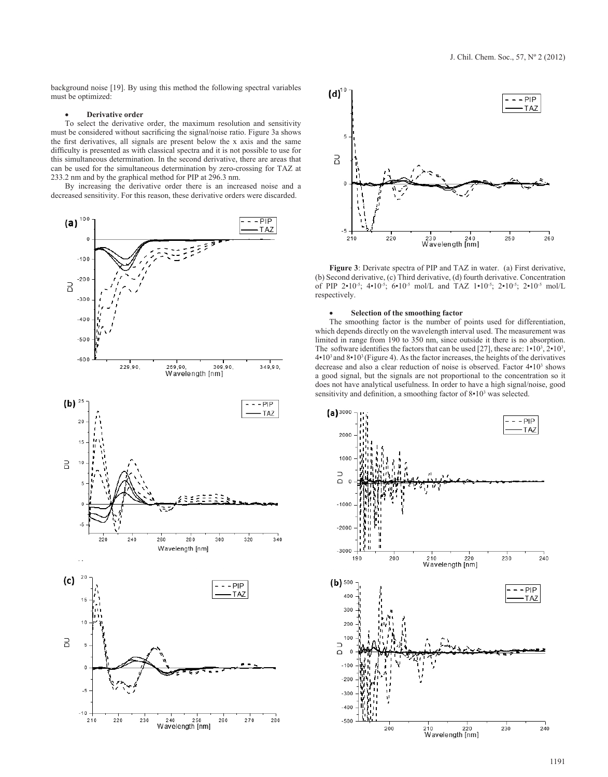background noise [19]. By using this method the following spectral variables must be optimized:

# **Derivative order**

To select the derivative order, the maximum resolution and sensitivity must be considered without sacrificing the signal/noise ratio. Figure 3a shows the first derivatives, all signals are present below the x axis and the same difficulty is presented as with classical spectra and it is not possible to use for this simultaneous determination. In the second derivative, there are areas that can be used for the simultaneous determination by zero-crossing for TAZ at 233.2 nm and by the graphical method for PIP at 296.3 nm.

By increasing the derivative order there is an increased noise and a decreased sensitivity. For this reason, these derivative orders were discarded.





**Figure 3**: Derivate spectra of PIP and TAZ in water. (a) First derivative, (b) Second derivative, (c) Third derivative, (d) fourth derivative. Concentration of PIP 2•10<sup>-5</sup>; 4•10<sup>-5</sup>; 6•10<sup>-5</sup> mol/L and TAZ 1•10<sup>-5</sup>; 2•10<sup>-5</sup>; 2•10<sup>-5</sup> mol/L respectively.

# Selection of the smoothing factor

The smoothing factor is the number of points used for differentiation, which depends directly on the wavelength interval used. The measurement was limited in range from 190 to 350 nm, since outside it there is no absorption. The software identifies the factors that can be used [27], these are:  $1 \cdot 10^3$ ,  $2 \cdot 10^3$ , 4•10<sup>3</sup>and 8•103 (Figure 4). As the factor increases, the heights of the derivatives decrease and also a clear reduction of noise is observed. Factor  $4 \cdot 10^3$  shows a good signal, but the signals are not proportional to the concentration so it does not have analytical usefulness. In order to have a high signal/noise, good sensitivity and definition, a smoothing factor of 8•10<sup>3</sup> was selected.

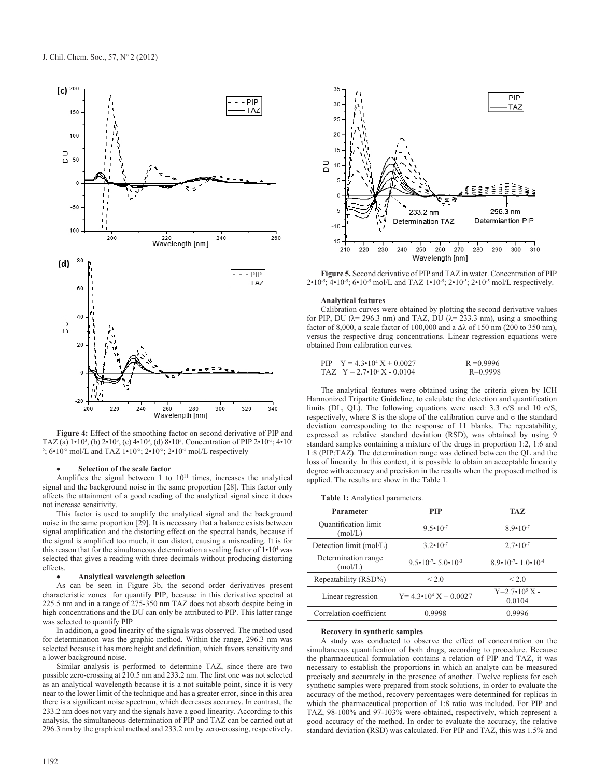

Figure 4: Effect of the smoothing factor on second derivative of PIP and TAZ (a)  $1 \cdot 10^3$ , (b)  $2 \cdot 10^3$ , (c)  $4 \cdot 10^3$ , (d)  $8 \cdot 10^3$ . Concentration of PIP  $2 \cdot 10^{-5}$ ;  $4 \cdot 10^{-5}$ 5 ; 6•10-5 mol/L and TAZ 1•10-5; 2•10-5; 2•10-5 mol/L respectively

### Selection of the scale factor

Amplifies the signal between 1 to  $10^{11}$  times, increases the analytical signal and the background noise in the same proportion [28]. This factor only affects the attainment of a good reading of the analytical signal since it does not increase sensitivity.

This factor is used to amplify the analytical signal and the background noise in the same proportion [29]. It is necessary that a balance exists between signal amplification and the distorting effect on the spectral bands, because if the signal is amplified too much, it can distort, causing a misreading. It is for this reason that for the simultaneous determination a scaling factor of  $1 \cdot 10^4$  was selected that gives a reading with three decimals without producing distorting effects.

### **Analytical wavelength selection**

As can be seen in Figure 3b, the second order derivatives present characteristic zones for quantify PIP, because in this derivative spectral at 225.5 nm and in a range of 275-350 nm TAZ does not absorb despite being in high concentrations and the DU can only be attributed to PIP. This latter range was selected to quantify PIP

In addition, a good linearity of the signals was observed. The method used for determination was the graphic method. Within the range, 296.3 nm was selected because it has more height and definition, which favors sensitivity and a lower background noise.

Similar analysis is performed to determine TAZ, since there are two possible zero-crossing at 210.5 nm and 233.2 nm. The first one was not selected as an analytical wavelength because it is a not suitable point, since it is very near to the lower limit of the technique and has a greater error, since in this area there is a significant noise spectrum, which decreases accuracy. In contrast, the 233.2 nm does not vary and the signals have a good linearity. According to this analysis, the simultaneous determination of PIP and TAZ can be carried out at 296.3 nm by the graphical method and 233.2 nm by zero-crossing, respectively.



**Figure 5.** Second derivative of PIP and TAZ in water. Concentration of PIP  $2 \cdot 10^{-5}$ ;  $4 \cdot 10^{-5}$ ;  $6 \cdot 10^{-5}$  mol/L and TAZ  $1 \cdot 10^{-5}$ ;  $2 \cdot 10^{-5}$ ;  $2 \cdot 10^{-5}$  mol/L respectively.

### **Analytical features**

Calibration curves were obtained by plotting the second derivative values for PIP, DU ( $\lambda$ = 296.3 nm) and TAZ, DU ( $\lambda$ = 233.3 nm), using a smoothing factor of 8,000, a scale factor of 100,000 and a  $\Delta\lambda$  of 150 nm (200 to 350 nm), versus the respective drug concentrations. Linear regression equations were obtained from calibration curves.

| PIP $Y = 4.3 \cdot 10^4 X + 0.0027$ | $R = 0.9996$ |
|-------------------------------------|--------------|
| TAZ $Y = 2.7 \cdot 10^5 X - 0.0104$ | $R=0.9998$   |

The analytical features were obtained using the criteria given by ICH Harmonized Tripartite Guideline, to calculate the detection and quantification limits (DL, QL). The following equations were used: 3.3  $\sigma$ /S and 10  $\sigma$ /S, respectively, where S is the slope of the calibration curve and  $\sigma$  the standard deviation corresponding to the response of 11 blanks. The repeatability, expressed as relative standard deviation (RSD), was obtained by using 9 standard samples containing a mixture of the drugs in proportion 1:2, 1:6 and 1:8 (PIP:TAZ). The determination range was defined between the QL and the loss of linearity. In this context, it is possible to obtain an acceptable linearity degree with accuracy and precision in the results when the proposed method is applied. The results are show in the Table 1.

|  |  |  | Table 1: Analytical parameters. |
|--|--|--|---------------------------------|
|--|--|--|---------------------------------|

| Parameter                              | <b>PIP</b>                              | <b>TAZ</b>                              |
|----------------------------------------|-----------------------------------------|-----------------------------------------|
| <b>Quantification limit</b><br>(mol/L) | $9.5 \cdot 10^{-7}$                     | $89-10^{-7}$                            |
| Detection limit (mol/L)                | $3.2 \cdot 10^{-7}$                     | $2.7 \cdot 10^{-7}$                     |
| Determination range<br>(mol/L)         | $9.5 \cdot 10^{-7} - 5.0 \cdot 10^{-3}$ | $8.9 \cdot 10^{-7} - 1.0 \cdot 10^{-4}$ |
| Repeatability (RSD%)                   | < 2.0                                   | < 2.0                                   |
| Linear regression                      | $Y = 4.3 \cdot 10^4 X + 0.0027$         | $Y=2.7 \cdot 10^5 X$ -<br>0.0104        |
| Correlation coefficient                | 0.9998                                  | 0.9996                                  |

### **Recovery in synthetic samples**

A study was conducted to observe the effect of concentration on the simultaneous quantification of both drugs, according to procedure. Because the pharmaceutical formulation contains a relation of PIP and TAZ, it was necessary to establish the proportions in which an analyte can be measured precisely and accurately in the presence of another. Twelve replicas for each synthetic samples were prepared from stock solutions, in order to evaluate the accuracy of the method, recovery percentages were determined for replicas in which the pharmaceutical proportion of 1:8 ratio was included. For PIP and TAZ, 98-100% and 97-103% were obtained, respectively, which represent a good accuracy of the method. In order to evaluate the accuracy, the relative standard deviation (RSD) was calculated. For PIP and TAZ, this was 1.5% and